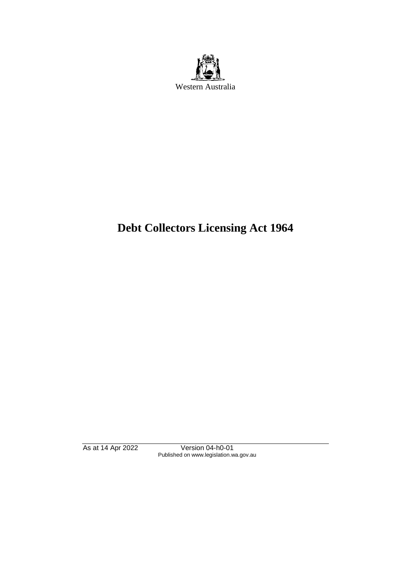

# **Debt Collectors Licensing Act 1964**

As at 14 Apr 2022 Version 04-h0-01 Published on www.legislation.wa.gov.au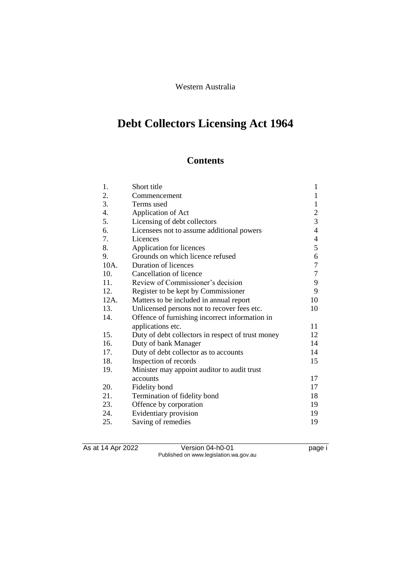#### Western Australia

# **Debt Collectors Licensing Act 1964**

# **Contents**

| 1.   | Short title                                       | $\mathbf{1}$     |
|------|---------------------------------------------------|------------------|
| 2.   | Commencement                                      | 1                |
| 3.   | Terms used                                        | $\mathbf{1}$     |
| 4.   | Application of Act                                | $\overline{c}$   |
| 5.   | Licensing of debt collectors                      | 3                |
| 6.   | Licensees not to assume additional powers         | $\overline{4}$   |
| 7.   | Licences                                          | $\overline{4}$   |
| 8.   | Application for licences                          | 5                |
| 9.   | Grounds on which licence refused                  | 6                |
| 10A. | Duration of licences                              | $\boldsymbol{7}$ |
| 10.  | Cancellation of licence                           | 7                |
| 11.  | Review of Commissioner's decision                 | 9                |
| 12.  | Register to be kept by Commissioner               | 9                |
| 12A. | Matters to be included in annual report           | 10               |
| 13.  | Unlicensed persons not to recover fees etc.       | 10               |
| 14.  | Offence of furnishing incorrect information in    |                  |
|      | applications etc.                                 | 11               |
| 15.  | Duty of debt collectors in respect of trust money | 12               |
| 16.  | Duty of bank Manager                              | 14               |
| 17.  | Duty of debt collector as to accounts             | 14               |
| 18.  | Inspection of records                             | 15               |
| 19.  | Minister may appoint auditor to audit trust       |                  |
|      | accounts                                          | 17               |
| 20.  | Fidelity bond                                     | 17               |
| 21.  | Termination of fidelity bond                      | 18               |
| 23.  | Offence by corporation                            | 19               |
| 24.  | Evidentiary provision                             | 19               |
| 25.  | Saving of remedies                                | 19               |

As at 14 Apr 2022 Version 04-h0-01 page i Published on www.legislation.wa.gov.au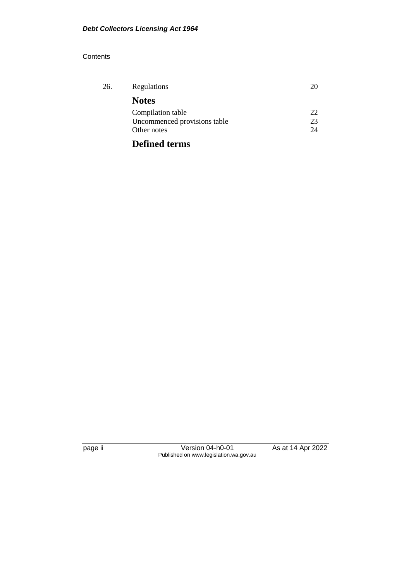#### **Contents**

| 26. | Regulations                  | 20 |
|-----|------------------------------|----|
|     | <b>Notes</b>                 |    |
|     | Compilation table            | 22 |
|     | Uncommenced provisions table | 23 |
|     | Other notes                  | 24 |
|     | <b>Defined terms</b>         |    |

page ii Version 04-h0-01 As at 14 Apr 2022 Published on www.legislation.wa.gov.au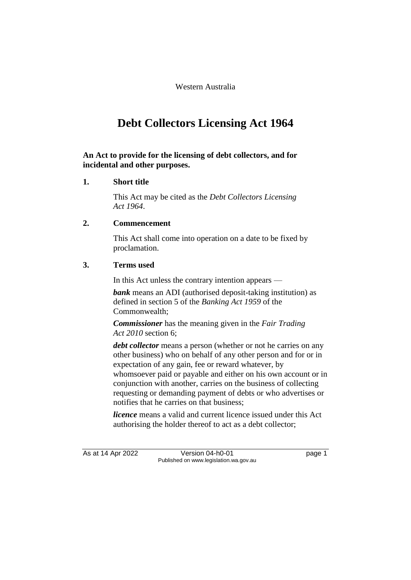Western Australia

# **Debt Collectors Licensing Act 1964**

#### **An Act to provide for the licensing of debt collectors, and for incidental and other purposes.**

#### **1. Short title**

This Act may be cited as the *Debt Collectors Licensing Act 1964*.

#### **2. Commencement**

This Act shall come into operation on a date to be fixed by proclamation.

#### **3. Terms used**

In this Act unless the contrary intention appears —

*bank* means an ADI (authorised deposit-taking institution) as defined in section 5 of the *Banking Act 1959* of the Commonwealth;

*Commissioner* has the meaning given in the *Fair Trading Act 2010* section 6;

*debt collector* means a person (whether or not he carries on any other business) who on behalf of any other person and for or in expectation of any gain, fee or reward whatever, by whomsoever paid or payable and either on his own account or in conjunction with another, carries on the business of collecting requesting or demanding payment of debts or who advertises or notifies that he carries on that business;

*licence* means a valid and current licence issued under this Act authorising the holder thereof to act as a debt collector;

As at 14 Apr 2022 Version 04-h0-01 page 1 Published on www.legislation.wa.gov.au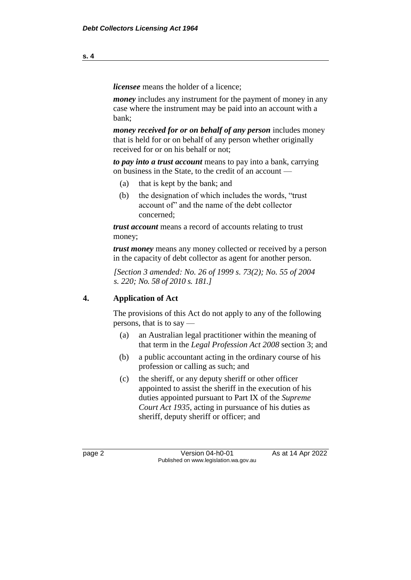*licensee* means the holder of a licence;

*money* includes any instrument for the payment of money in any case where the instrument may be paid into an account with a bank;

*money received for or on behalf of any person* includes money that is held for or on behalf of any person whether originally received for or on his behalf or not;

*to pay into a trust account* means to pay into a bank, carrying on business in the State, to the credit of an account —

- (a) that is kept by the bank; and
- (b) the designation of which includes the words, "trust account of" and the name of the debt collector concerned;

*trust account* means a record of accounts relating to trust money;

*trust money* means any money collected or received by a person in the capacity of debt collector as agent for another person.

*[Section 3 amended: No. 26 of 1999 s. 73(2); No. 55 of 2004 s. 220; No. 58 of 2010 s. 181.]*

#### **4. Application of Act**

The provisions of this Act do not apply to any of the following persons, that is to say —

- (a) an Australian legal practitioner within the meaning of that term in the *Legal Profession Act 2008* section 3; and
- (b) a public accountant acting in the ordinary course of his profession or calling as such; and
- (c) the sheriff, or any deputy sheriff or other officer appointed to assist the sheriff in the execution of his duties appointed pursuant to Part IX of the *Supreme Court Act 1935*, acting in pursuance of his duties as sheriff, deputy sheriff or officer; and

page 2 **Version 04-h0-01** As at 14 Apr 2022 Published on www.legislation.wa.gov.au

**s. 4**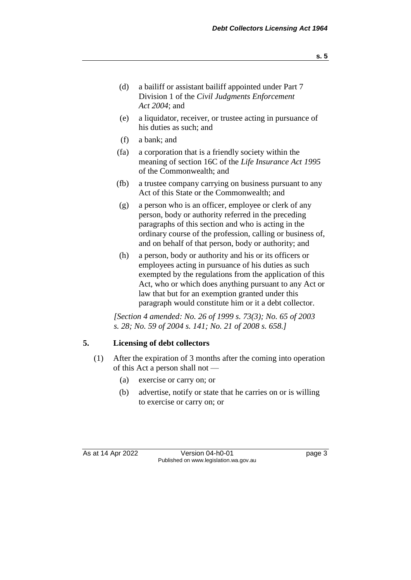- **s. 5**
- (d) a bailiff or assistant bailiff appointed under Part 7 Division 1 of the *Civil Judgments Enforcement Act 2004*; and
- (e) a liquidator, receiver, or trustee acting in pursuance of his duties as such; and
- (f) a bank; and
- (fa) a corporation that is a friendly society within the meaning of section 16C of the *Life Insurance Act 1995* of the Commonwealth; and
- (fb) a trustee company carrying on business pursuant to any Act of this State or the Commonwealth; and
- (g) a person who is an officer, employee or clerk of any person, body or authority referred in the preceding paragraphs of this section and who is acting in the ordinary course of the profession, calling or business of, and on behalf of that person, body or authority; and
- (h) a person, body or authority and his or its officers or employees acting in pursuance of his duties as such exempted by the regulations from the application of this Act, who or which does anything pursuant to any Act or law that but for an exemption granted under this paragraph would constitute him or it a debt collector.

*[Section 4 amended: No. 26 of 1999 s. 73(3); No. 65 of 2003 s. 28; No. 59 of 2004 s. 141; No. 21 of 2008 s. 658.]*

## **5. Licensing of debt collectors**

- (1) After the expiration of 3 months after the coming into operation of this Act a person shall not —
	- (a) exercise or carry on; or
	- (b) advertise, notify or state that he carries on or is willing to exercise or carry on; or

As at 14 Apr 2022 Version 04-h0-01 page 3 Published on www.legislation.wa.gov.au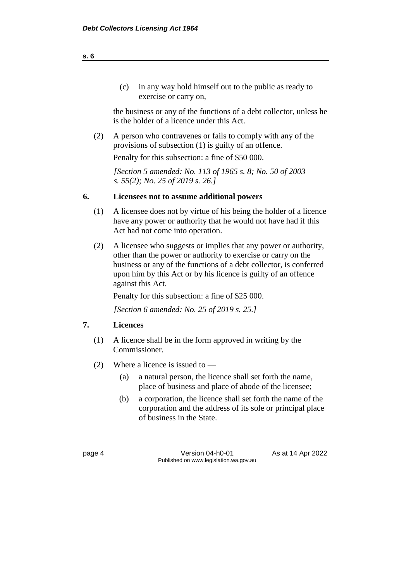(c) in any way hold himself out to the public as ready to exercise or carry on,

the business or any of the functions of a debt collector, unless he is the holder of a licence under this Act.

(2) A person who contravenes or fails to comply with any of the provisions of subsection (1) is guilty of an offence. Penalty for this subsection: a fine of \$50 000.

*[Section 5 amended: No. 113 of 1965 s. 8; No. 50 of 2003 s. 55(2); No. 25 of 2019 s. 26.]* 

#### **6. Licensees not to assume additional powers**

- (1) A licensee does not by virtue of his being the holder of a licence have any power or authority that he would not have had if this Act had not come into operation.
- (2) A licensee who suggests or implies that any power or authority, other than the power or authority to exercise or carry on the business or any of the functions of a debt collector, is conferred upon him by this Act or by his licence is guilty of an offence against this Act.

Penalty for this subsection: a fine of \$25 000.

*[Section 6 amended: No. 25 of 2019 s. 25.]*

#### **7. Licences**

- (1) A licence shall be in the form approved in writing by the Commissioner.
- (2) Where a licence is issued to
	- (a) a natural person, the licence shall set forth the name, place of business and place of abode of the licensee;
	- (b) a corporation, the licence shall set forth the name of the corporation and the address of its sole or principal place of business in the State.

page 4 Version 04-h0-01 As at 14 Apr 2022 Published on www.legislation.wa.gov.au

**s. 6**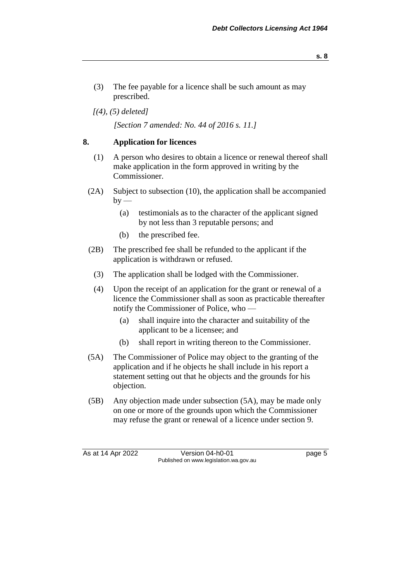- (3) The fee payable for a licence shall be such amount as may prescribed.
- *[(4), (5) deleted]*

*[Section 7 amended: No. 44 of 2016 s. 11.]*

#### **8. Application for licences**

- (1) A person who desires to obtain a licence or renewal thereof shall make application in the form approved in writing by the Commissioner.
- (2A) Subject to subsection (10), the application shall be accompanied  $by -$ 
	- (a) testimonials as to the character of the applicant signed by not less than 3 reputable persons; and
	- (b) the prescribed fee.
- (2B) The prescribed fee shall be refunded to the applicant if the application is withdrawn or refused.
	- (3) The application shall be lodged with the Commissioner.
	- (4) Upon the receipt of an application for the grant or renewal of a licence the Commissioner shall as soon as practicable thereafter notify the Commissioner of Police, who —
		- (a) shall inquire into the character and suitability of the applicant to be a licensee; and
		- (b) shall report in writing thereon to the Commissioner.
- (5A) The Commissioner of Police may object to the granting of the application and if he objects he shall include in his report a statement setting out that he objects and the grounds for his objection.
- (5B) Any objection made under subsection (5A), may be made only on one or more of the grounds upon which the Commissioner may refuse the grant or renewal of a licence under section 9.

As at 14 Apr 2022 Version 04-h0-01 page 5 Published on www.legislation.wa.gov.au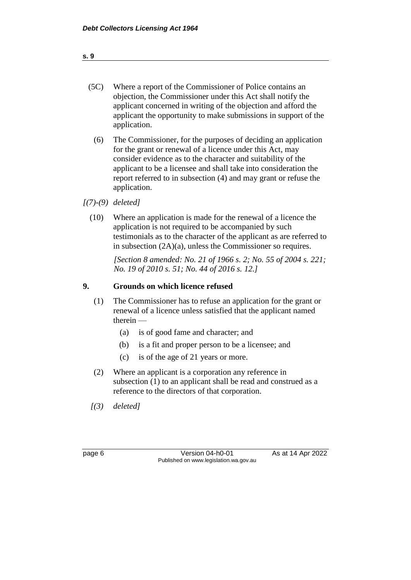| (5C) | Where a report of the Commissioner of Police contains an        |
|------|-----------------------------------------------------------------|
|      | objection, the Commissioner under this Act shall notify the     |
|      | applicant concerned in writing of the objection and afford the  |
|      | applicant the opportunity to make submissions in support of the |
|      | application.                                                    |

- (6) The Commissioner, for the purposes of deciding an application for the grant or renewal of a licence under this Act, may consider evidence as to the character and suitability of the applicant to be a licensee and shall take into consideration the report referred to in subsection (4) and may grant or refuse the application.
- *[(7)-(9) deleted]*
	- (10) Where an application is made for the renewal of a licence the application is not required to be accompanied by such testimonials as to the character of the applicant as are referred to in subsection (2A)(a), unless the Commissioner so requires.

*[Section 8 amended: No. 21 of 1966 s. 2; No. 55 of 2004 s. 221; No. 19 of 2010 s. 51; No. 44 of 2016 s. 12.]* 

#### **9. Grounds on which licence refused**

- (1) The Commissioner has to refuse an application for the grant or renewal of a licence unless satisfied that the applicant named therein —
	- (a) is of good fame and character; and
	- (b) is a fit and proper person to be a licensee; and
	- (c) is of the age of 21 years or more.
- (2) Where an applicant is a corporation any reference in subsection (1) to an applicant shall be read and construed as a reference to the directors of that corporation.
- *[(3) deleted]*

| . .<br>┍<br>e e |  |
|-----------------|--|
|-----------------|--|

page 6 Version 04-h0-01 As at 14 Apr 2022 Published on www.legislation.wa.gov.au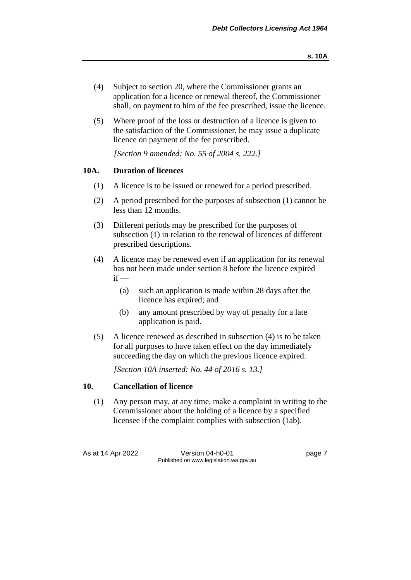- (4) Subject to section 20, where the Commissioner grants an application for a licence or renewal thereof, the Commissioner shall, on payment to him of the fee prescribed, issue the licence.
- (5) Where proof of the loss or destruction of a licence is given to the satisfaction of the Commissioner, he may issue a duplicate licence on payment of the fee prescribed.

*[Section 9 amended: No. 55 of 2004 s. 222.]*

#### **10A. Duration of licences**

- (1) A licence is to be issued or renewed for a period prescribed.
- (2) A period prescribed for the purposes of subsection (1) cannot be less than 12 months.
- (3) Different periods may be prescribed for the purposes of subsection (1) in relation to the renewal of licences of different prescribed descriptions.
- (4) A licence may be renewed even if an application for its renewal has not been made under section 8 before the licence expired  $if -$ 
	- (a) such an application is made within 28 days after the licence has expired; and
	- (b) any amount prescribed by way of penalty for a late application is paid.
- (5) A licence renewed as described in subsection (4) is to be taken for all purposes to have taken effect on the day immediately succeeding the day on which the previous licence expired.

*[Section 10A inserted: No. 44 of 2016 s. 13.]*

#### **10. Cancellation of licence**

(1) Any person may, at any time, make a complaint in writing to the Commissioner about the holding of a licence by a specified licensee if the complaint complies with subsection (1ab).

As at 14 Apr 2022 Version 04-h0-01 page 7 Published on www.legislation.wa.gov.au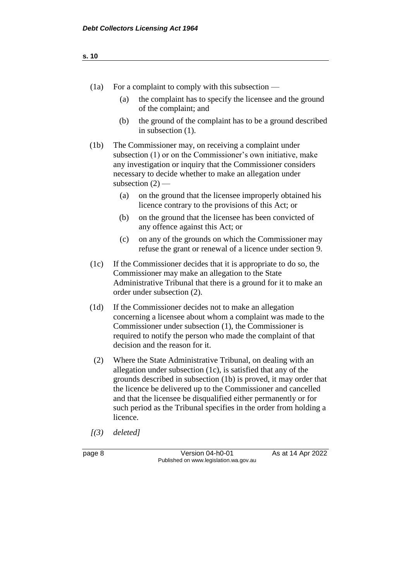| w<br>۰. | ۹ | ×<br>۰. |
|---------|---|---------|
|         |   |         |

- (1a) For a complaint to comply with this subsection
	- (a) the complaint has to specify the licensee and the ground of the complaint; and
	- (b) the ground of the complaint has to be a ground described in subsection (1).
- (1b) The Commissioner may, on receiving a complaint under subsection (1) or on the Commissioner's own initiative, make any investigation or inquiry that the Commissioner considers necessary to decide whether to make an allegation under subsection  $(2)$  —
	- (a) on the ground that the licensee improperly obtained his licence contrary to the provisions of this Act; or
	- (b) on the ground that the licensee has been convicted of any offence against this Act; or
	- (c) on any of the grounds on which the Commissioner may refuse the grant or renewal of a licence under section 9.
- (1c) If the Commissioner decides that it is appropriate to do so, the Commissioner may make an allegation to the State Administrative Tribunal that there is a ground for it to make an order under subsection (2).
- (1d) If the Commissioner decides not to make an allegation concerning a licensee about whom a complaint was made to the Commissioner under subsection (1), the Commissioner is required to notify the person who made the complaint of that decision and the reason for it.
- (2) Where the State Administrative Tribunal, on dealing with an allegation under subsection (1c), is satisfied that any of the grounds described in subsection (1b) is proved, it may order that the licence be delivered up to the Commissioner and cancelled and that the licensee be disqualified either permanently or for such period as the Tribunal specifies in the order from holding a licence.
- *[(3) deleted]*
- 

page 8 Version 04-h0-01 As at 14 Apr 2022 Published on www.legislation.wa.gov.au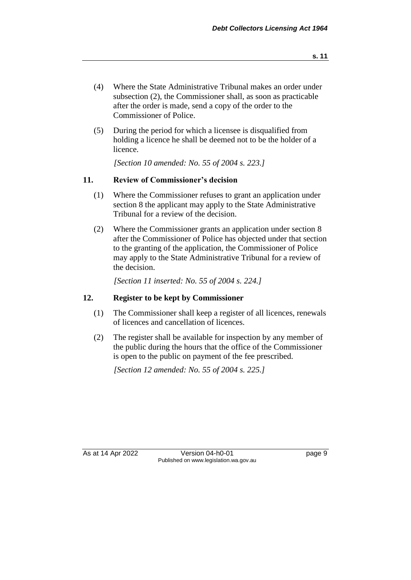- (4) Where the State Administrative Tribunal makes an order under subsection (2), the Commissioner shall, as soon as practicable after the order is made, send a copy of the order to the Commissioner of Police.
- (5) During the period for which a licensee is disqualified from holding a licence he shall be deemed not to be the holder of a licence.

*[Section 10 amended: No. 55 of 2004 s. 223.]*

#### **11. Review of Commissioner's decision**

- (1) Where the Commissioner refuses to grant an application under section 8 the applicant may apply to the State Administrative Tribunal for a review of the decision.
- (2) Where the Commissioner grants an application under section 8 after the Commissioner of Police has objected under that section to the granting of the application, the Commissioner of Police may apply to the State Administrative Tribunal for a review of the decision.

*[Section 11 inserted: No. 55 of 2004 s. 224.]*

#### **12. Register to be kept by Commissioner**

- (1) The Commissioner shall keep a register of all licences, renewals of licences and cancellation of licences.
- (2) The register shall be available for inspection by any member of the public during the hours that the office of the Commissioner is open to the public on payment of the fee prescribed.

*[Section 12 amended: No. 55 of 2004 s. 225.]*

As at 14 Apr 2022 Version 04-h0-01 page 9 Published on www.legislation.wa.gov.au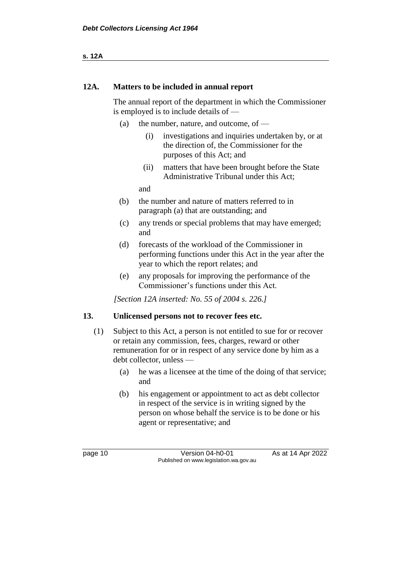**s. 12A**

#### **12A. Matters to be included in annual report**

The annual report of the department in which the Commissioner is employed is to include details of —

- (a) the number, nature, and outcome, of  $-$ 
	- (i) investigations and inquiries undertaken by, or at the direction of, the Commissioner for the purposes of this Act; and
	- (ii) matters that have been brought before the State Administrative Tribunal under this Act;

and

- (b) the number and nature of matters referred to in paragraph (a) that are outstanding; and
- (c) any trends or special problems that may have emerged; and
- (d) forecasts of the workload of the Commissioner in performing functions under this Act in the year after the year to which the report relates; and
- (e) any proposals for improving the performance of the Commissioner's functions under this Act.

*[Section 12A inserted: No. 55 of 2004 s. 226.]*

#### **13. Unlicensed persons not to recover fees etc.**

- (1) Subject to this Act, a person is not entitled to sue for or recover or retain any commission, fees, charges, reward or other remuneration for or in respect of any service done by him as a debt collector, unless —
	- (a) he was a licensee at the time of the doing of that service; and
	- (b) his engagement or appointment to act as debt collector in respect of the service is in writing signed by the person on whose behalf the service is to be done or his agent or representative; and

page 10 **Version 04-h0-01** As at 14 Apr 2022 Published on www.legislation.wa.gov.au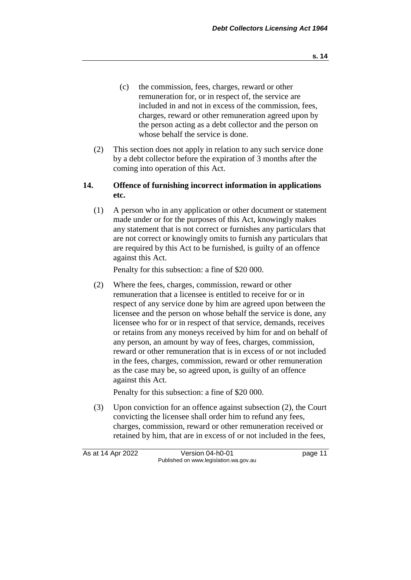- (c) the commission, fees, charges, reward or other remuneration for, or in respect of, the service are included in and not in excess of the commission, fees, charges, reward or other remuneration agreed upon by the person acting as a debt collector and the person on whose behalf the service is done.
- (2) This section does not apply in relation to any such service done by a debt collector before the expiration of 3 months after the coming into operation of this Act.

#### **14. Offence of furnishing incorrect information in applications etc.**

(1) A person who in any application or other document or statement made under or for the purposes of this Act, knowingly makes any statement that is not correct or furnishes any particulars that are not correct or knowingly omits to furnish any particulars that are required by this Act to be furnished, is guilty of an offence against this Act.

Penalty for this subsection: a fine of \$20 000.

(2) Where the fees, charges, commission, reward or other remuneration that a licensee is entitled to receive for or in respect of any service done by him are agreed upon between the licensee and the person on whose behalf the service is done, any licensee who for or in respect of that service, demands, receives or retains from any moneys received by him for and on behalf of any person, an amount by way of fees, charges, commission, reward or other remuneration that is in excess of or not included in the fees, charges, commission, reward or other remuneration as the case may be, so agreed upon, is guilty of an offence against this Act.

Penalty for this subsection: a fine of \$20 000.

(3) Upon conviction for an offence against subsection (2), the Court convicting the licensee shall order him to refund any fees, charges, commission, reward or other remuneration received or retained by him, that are in excess of or not included in the fees,

| As at 14 Apr 2022 | Version 04-h0-01                       | page 11 |
|-------------------|----------------------------------------|---------|
|                   | Published on www.legislation.wa.gov.au |         |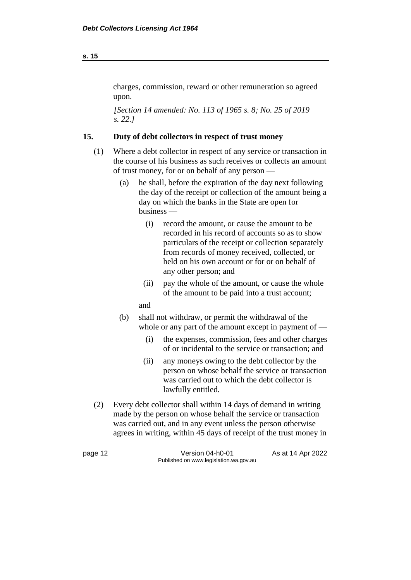#### charges, commission, reward or other remuneration so agreed upon.

*[Section 14 amended: No. 113 of 1965 s. 8; No. 25 of 2019 s. 22.]* 

### **15. Duty of debt collectors in respect of trust money**

- (1) Where a debt collector in respect of any service or transaction in the course of his business as such receives or collects an amount of trust money, for or on behalf of any person —
	- (a) he shall, before the expiration of the day next following the day of the receipt or collection of the amount being a day on which the banks in the State are open for business —
		- (i) record the amount, or cause the amount to be recorded in his record of accounts so as to show particulars of the receipt or collection separately from records of money received, collected, or held on his own account or for or on behalf of any other person; and
		- (ii) pay the whole of the amount, or cause the whole of the amount to be paid into a trust account;
		- and
	- (b) shall not withdraw, or permit the withdrawal of the whole or any part of the amount except in payment of —
		- (i) the expenses, commission, fees and other charges of or incidental to the service or transaction; and
		- (ii) any moneys owing to the debt collector by the person on whose behalf the service or transaction was carried out to which the debt collector is lawfully entitled.
- (2) Every debt collector shall within 14 days of demand in writing made by the person on whose behalf the service or transaction was carried out, and in any event unless the person otherwise agrees in writing, within 45 days of receipt of the trust money in

| page 12 | Version 04-h0-01                       | As at 14 Apr 2022 |
|---------|----------------------------------------|-------------------|
|         | Published on www.legislation.wa.gov.au |                   |

**s. 15**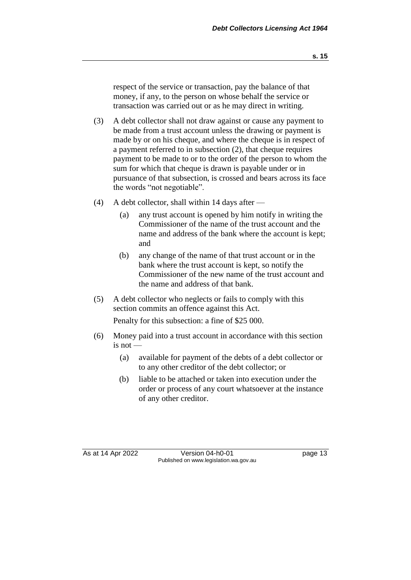respect of the service or transaction, pay the balance of that money, if any, to the person on whose behalf the service or transaction was carried out or as he may direct in writing.

- (3) A debt collector shall not draw against or cause any payment to be made from a trust account unless the drawing or payment is made by or on his cheque, and where the cheque is in respect of a payment referred to in subsection (2), that cheque requires payment to be made to or to the order of the person to whom the sum for which that cheque is drawn is payable under or in pursuance of that subsection, is crossed and bears across its face the words "not negotiable".
- (4) A debt collector, shall within 14 days after
	- (a) any trust account is opened by him notify in writing the Commissioner of the name of the trust account and the name and address of the bank where the account is kept; and
	- (b) any change of the name of that trust account or in the bank where the trust account is kept, so notify the Commissioner of the new name of the trust account and the name and address of that bank.
- (5) A debt collector who neglects or fails to comply with this section commits an offence against this Act.

Penalty for this subsection: a fine of \$25 000.

- (6) Money paid into a trust account in accordance with this section is not —
	- (a) available for payment of the debts of a debt collector or to any other creditor of the debt collector; or
	- (b) liable to be attached or taken into execution under the order or process of any court whatsoever at the instance of any other creditor.

As at 14 Apr 2022 Version 04-h0-01 page 13 Published on www.legislation.wa.gov.au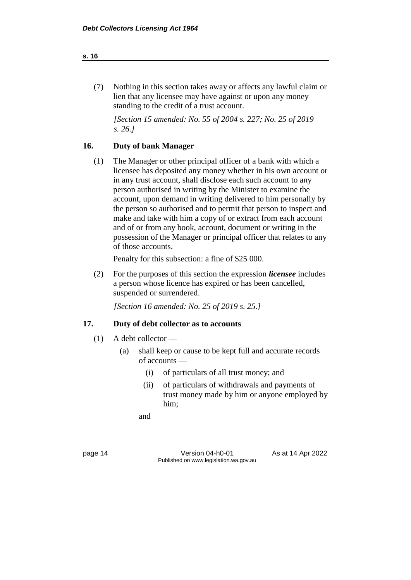#### **s. 16**

(7) Nothing in this section takes away or affects any lawful claim or lien that any licensee may have against or upon any money standing to the credit of a trust account.

*[Section 15 amended: No. 55 of 2004 s. 227; No. 25 of 2019 s. 26.]*

#### **16. Duty of bank Manager**

(1) The Manager or other principal officer of a bank with which a licensee has deposited any money whether in his own account or in any trust account, shall disclose each such account to any person authorised in writing by the Minister to examine the account, upon demand in writing delivered to him personally by the person so authorised and to permit that person to inspect and make and take with him a copy of or extract from each account and of or from any book, account, document or writing in the possession of the Manager or principal officer that relates to any of those accounts.

Penalty for this subsection: a fine of \$25 000.

(2) For the purposes of this section the expression *licensee* includes a person whose licence has expired or has been cancelled, suspended or surrendered.

*[Section 16 amended: No. 25 of 2019 s. 25.]*

#### **17. Duty of debt collector as to accounts**

- (1) A debt collector
	- (a) shall keep or cause to be kept full and accurate records of accounts —
		- (i) of particulars of all trust money; and
		- (ii) of particulars of withdrawals and payments of trust money made by him or anyone employed by him;

and

| page |  |
|------|--|
|      |  |

page 14 Version 04-h0-01 As at 14 Apr 2022 Published on www.legislation.wa.gov.au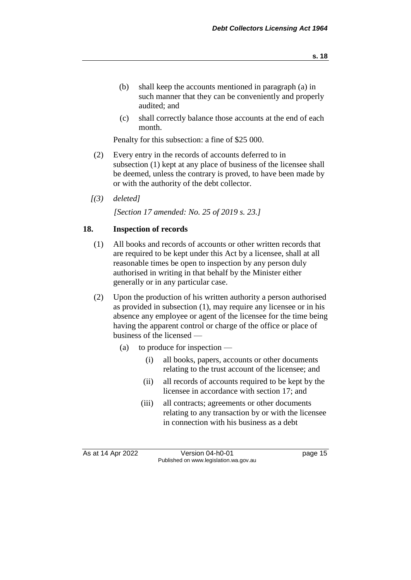- (b) shall keep the accounts mentioned in paragraph (a) in such manner that they can be conveniently and properly audited; and
- (c) shall correctly balance those accounts at the end of each month.

Penalty for this subsection: a fine of \$25 000.

- (2) Every entry in the records of accounts deferred to in subsection (1) kept at any place of business of the licensee shall be deemed, unless the contrary is proved, to have been made by or with the authority of the debt collector.
- *[(3) deleted]*

*[Section 17 amended: No. 25 of 2019 s. 23.]*

#### **18. Inspection of records**

- (1) All books and records of accounts or other written records that are required to be kept under this Act by a licensee, shall at all reasonable times be open to inspection by any person duly authorised in writing in that behalf by the Minister either generally or in any particular case.
- (2) Upon the production of his written authority a person authorised as provided in subsection (1), may require any licensee or in his absence any employee or agent of the licensee for the time being having the apparent control or charge of the office or place of business of the licensed —
	- (a) to produce for inspection
		- (i) all books, papers, accounts or other documents relating to the trust account of the licensee; and
		- (ii) all records of accounts required to be kept by the licensee in accordance with section 17; and
		- (iii) all contracts; agreements or other documents relating to any transaction by or with the licensee in connection with his business as a debt

As at 14 Apr 2022 Version 04-h0-01 Page 15 Published on www.legislation.wa.gov.au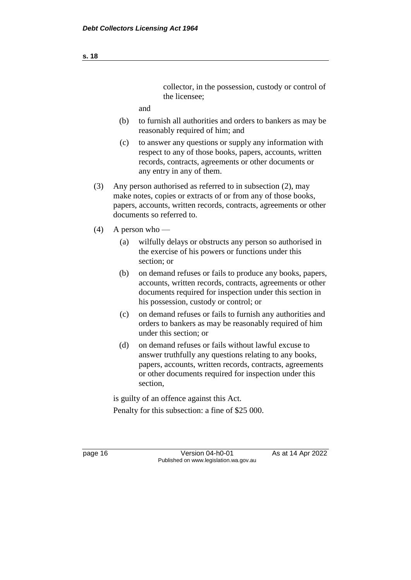collector, in the possession, custody or control of the licensee;

and

- (b) to furnish all authorities and orders to bankers as may be reasonably required of him; and
- (c) to answer any questions or supply any information with respect to any of those books, papers, accounts, written records, contracts, agreements or other documents or any entry in any of them.
- (3) Any person authorised as referred to in subsection (2), may make notes, copies or extracts of or from any of those books, papers, accounts, written records, contracts, agreements or other documents so referred to.
- $(4)$  A person who
	- (a) wilfully delays or obstructs any person so authorised in the exercise of his powers or functions under this section; or
	- (b) on demand refuses or fails to produce any books, papers, accounts, written records, contracts, agreements or other documents required for inspection under this section in his possession, custody or control; or
	- (c) on demand refuses or fails to furnish any authorities and orders to bankers as may be reasonably required of him under this section; or
	- (d) on demand refuses or fails without lawful excuse to answer truthfully any questions relating to any books, papers, accounts, written records, contracts, agreements or other documents required for inspection under this section,

is guilty of an offence against this Act. Penalty for this subsection: a fine of \$25 000.

page 16 **Version 04-h0-01** As at 14 Apr 2022 Published on www.legislation.wa.gov.au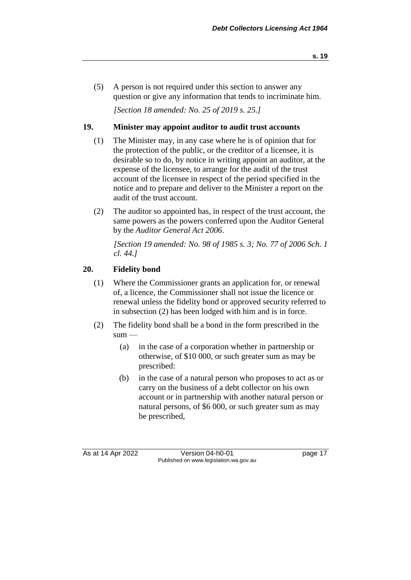(5) A person is not required under this section to answer any question or give any information that tends to incriminate him.

*[Section 18 amended: No. 25 of 2019 s. 25.]*

#### **19. Minister may appoint auditor to audit trust accounts**

- (1) The Minister may, in any case where he is of opinion that for the protection of the public, or the creditor of a licensee, it is desirable so to do, by notice in writing appoint an auditor, at the expense of the licensee, to arrange for the audit of the trust account of the licensee in respect of the period specified in the notice and to prepare and deliver to the Minister a report on the audit of the trust account.
- (2) The auditor so appointed has, in respect of the trust account, the same powers as the powers conferred upon the Auditor General by the *Auditor General Act 2006*.

*[Section 19 amended: No. 98 of 1985 s. 3; No. 77 of 2006 Sch. 1 cl. 44.]* 

#### **20. Fidelity bond**

- (1) Where the Commissioner grants an application for, or renewal of, a licence, the Commissioner shall not issue the licence or renewal unless the fidelity bond or approved security referred to in subsection (2) has been lodged with him and is in force.
- (2) The fidelity bond shall be a bond in the form prescribed in the  $sum -$ 
	- (a) in the case of a corporation whether in partnership or otherwise, of \$10 000, or such greater sum as may be prescribed:
	- (b) in the case of a natural person who proposes to act as or carry on the business of a debt collector on his own account or in partnership with another natural person or natural persons, of \$6 000, or such greater sum as may be prescribed,

As at 14 Apr 2022 Version 04-h0-01 page 17 Published on www.legislation.wa.gov.au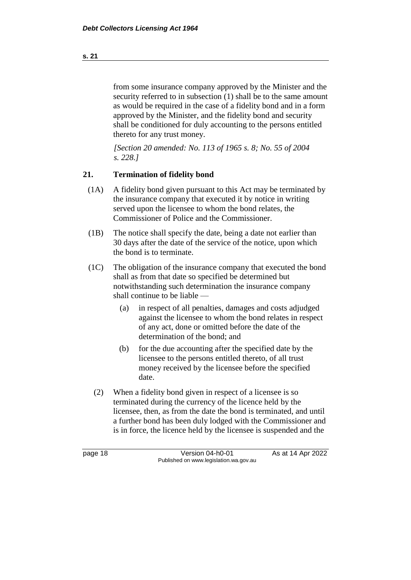from some insurance company approved by the Minister and the security referred to in subsection (1) shall be to the same amount as would be required in the case of a fidelity bond and in a form approved by the Minister, and the fidelity bond and security shall be conditioned for duly accounting to the persons entitled thereto for any trust money.

*[Section 20 amended: No. 113 of 1965 s. 8; No. 55 of 2004 s. 228.]* 

### **21. Termination of fidelity bond**

- (1A) A fidelity bond given pursuant to this Act may be terminated by the insurance company that executed it by notice in writing served upon the licensee to whom the bond relates, the Commissioner of Police and the Commissioner.
- (1B) The notice shall specify the date, being a date not earlier than 30 days after the date of the service of the notice, upon which the bond is to terminate.
- (1C) The obligation of the insurance company that executed the bond shall as from that date so specified be determined but notwithstanding such determination the insurance company shall continue to be liable —
	- (a) in respect of all penalties, damages and costs adjudged against the licensee to whom the bond relates in respect of any act, done or omitted before the date of the determination of the bond; and
	- (b) for the due accounting after the specified date by the licensee to the persons entitled thereto, of all trust money received by the licensee before the specified date.
	- (2) When a fidelity bond given in respect of a licensee is so terminated during the currency of the licence held by the licensee, then, as from the date the bond is terminated, and until a further bond has been duly lodged with the Commissioner and is in force, the licence held by the licensee is suspended and the

page 18 Version 04-h0-01 As at 14 Apr 2022 Published on www.legislation.wa.gov.au

**s. 21**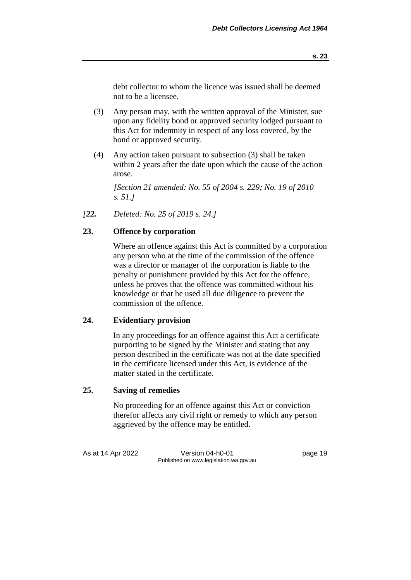debt collector to whom the licence was issued shall be deemed not to be a licensee.

- (3) Any person may, with the written approval of the Minister, sue upon any fidelity bond or approved security lodged pursuant to this Act for indemnity in respect of any loss covered, by the bond or approved security.
- (4) Any action taken pursuant to subsection (3) shall be taken within 2 years after the date upon which the cause of the action arose.

*[Section 21 amended: No. 55 of 2004 s. 229; No. 19 of 2010 s. 51.]*

*[22. Deleted: No. 25 of 2019 s. 24.]*

### **23. Offence by corporation**

Where an offence against this Act is committed by a corporation any person who at the time of the commission of the offence was a director or manager of the corporation is liable to the penalty or punishment provided by this Act for the offence, unless he proves that the offence was committed without his knowledge or that he used all due diligence to prevent the commission of the offence.

#### **24. Evidentiary provision**

In any proceedings for an offence against this Act a certificate purporting to be signed by the Minister and stating that any person described in the certificate was not at the date specified in the certificate licensed under this Act, is evidence of the matter stated in the certificate.

#### **25. Saving of remedies**

No proceeding for an offence against this Act or conviction therefor affects any civil right or remedy to which any person aggrieved by the offence may be entitled.

As at 14 Apr 2022 Version 04-h0-01 page 19 Published on www.legislation.wa.gov.au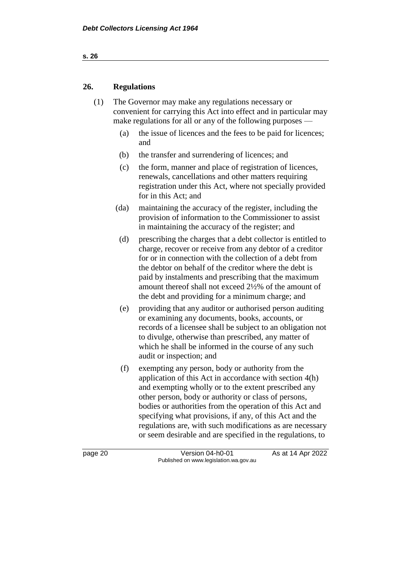#### **26. Regulations**

(1) The Governor may make any regulations necessary or convenient for carrying this Act into effect and in particular may make regulations for all or any of the following purposes —

- (a) the issue of licences and the fees to be paid for licences; and
- (b) the transfer and surrendering of licences; and
- (c) the form, manner and place of registration of licences, renewals, cancellations and other matters requiring registration under this Act, where not specially provided for in this Act; and
- (da) maintaining the accuracy of the register, including the provision of information to the Commissioner to assist in maintaining the accuracy of the register; and
	- (d) prescribing the charges that a debt collector is entitled to charge, recover or receive from any debtor of a creditor for or in connection with the collection of a debt from the debtor on behalf of the creditor where the debt is paid by instalments and prescribing that the maximum amount thereof shall not exceed 2½% of the amount of the debt and providing for a minimum charge; and
	- (e) providing that any auditor or authorised person auditing or examining any documents, books, accounts, or records of a licensee shall be subject to an obligation not to divulge, otherwise than prescribed, any matter of which he shall be informed in the course of any such audit or inspection; and
	- (f) exempting any person, body or authority from the application of this Act in accordance with section 4(h) and exempting wholly or to the extent prescribed any other person, body or authority or class of persons, bodies or authorities from the operation of this Act and specifying what provisions, if any, of this Act and the regulations are, with such modifications as are necessary or seem desirable and are specified in the regulations, to

page 20 **Version 04-h0-01** As at 14 Apr 2022 Published on www.legislation.wa.gov.au

**s. 26**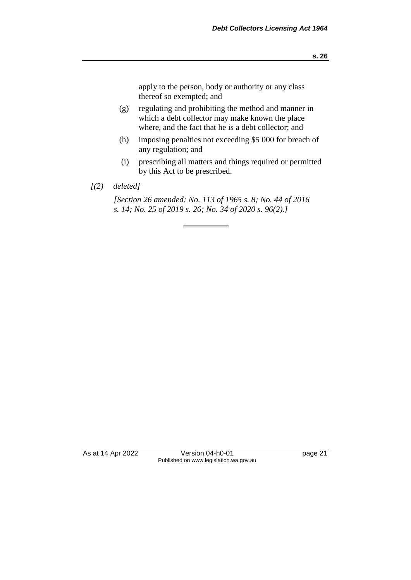apply to the person, body or authority or any class thereof so exempted; and

- (g) regulating and prohibiting the method and manner in which a debt collector may make known the place where, and the fact that he is a debt collector; and
- (h) imposing penalties not exceeding \$5 000 for breach of any regulation; and
- (i) prescribing all matters and things required or permitted by this Act to be prescribed.
- *[(2) deleted]*

*[Section 26 amended: No. 113 of 1965 s. 8; No. 44 of 2016 s. 14; No. 25 of 2019 s. 26; No. 34 of 2020 s. 96(2).]* 

As at 14 Apr 2022 Version 04-h0-01 page 21 Published on www.legislation.wa.gov.au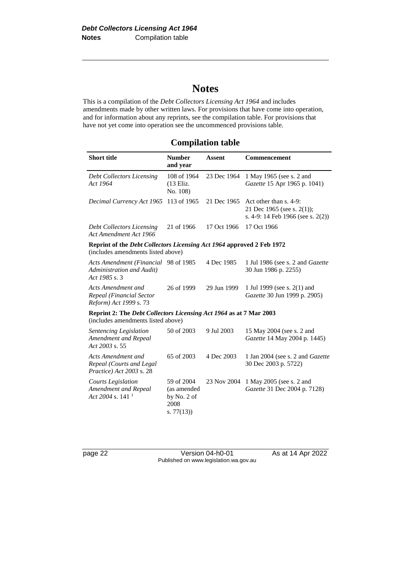# **Notes**

This is a compilation of the *Debt Collectors Licensing Act 1964* and includes amendments made by other written laws. For provisions that have come into operation, and for information about any reprints, see the compilation table. For provisions that have not yet come into operation see the uncommenced provisions table.

## **Compilation table**

| <b>Short title</b>                                                                                              | <b>Number</b><br>and year                                       | <b>Assent</b> | Commencement                                                                              |
|-----------------------------------------------------------------------------------------------------------------|-----------------------------------------------------------------|---------------|-------------------------------------------------------------------------------------------|
| <b>Debt Collectors Licensing</b><br>Act 1964                                                                    | 108 of 1964<br>(13 Eliz.<br>No. 108)                            | 23 Dec 1964   | 1 May 1965 (see s. 2 and<br>Gazette 15 Apr 1965 p. 1041)                                  |
| Decimal Currency Act 1965                                                                                       | 113 of 1965                                                     | 21 Dec 1965   | Act other than s. 4-9:<br>21 Dec 1965 (see s. 2(1));<br>s. 4-9: 14 Feb 1966 (see s. 2(2)) |
| <b>Debt Collectors Licensing</b><br>Act Amendment Act 1966                                                      | 21 of 1966                                                      | 17 Oct 1966   | 17 Oct 1966                                                                               |
| Reprint of the Debt Collectors Licensing Act 1964 approved 2 Feb 1972<br>(includes amendments listed above)     |                                                                 |               |                                                                                           |
| Acts Amendment (Financial 98 of 1985<br>Administration and Audit)<br>Act 1985 s. 3                              |                                                                 | 4 Dec 1985    | 1 Jul 1986 (see s. 2 and Gazette<br>30 Jun 1986 p. 2255)                                  |
| <b>Acts Amendment and</b><br>Repeal (Financial Sector<br>Reform) Act 1999 s. 73                                 | 26 of 1999                                                      | 29 Jun 1999   | 1 Jul 1999 (see s. 2(1) and<br>Gazette 30 Jun 1999 p. 2905)                               |
| Reprint 2: The <i>Debt Collectors Licensing Act 1964</i> as at 7 Mar 2003<br>(includes amendments listed above) |                                                                 |               |                                                                                           |
| Sentencing Legislation<br>Amendment and Repeal<br>Act 2003 s. 55                                                | 50 of 2003                                                      | 9 Jul 2003    | 15 May 2004 (see s. 2 and<br>Gazette 14 May 2004 p. 1445)                                 |
| Acts Amendment and<br>Repeal (Courts and Legal<br>Practice) Act 2003 s. 28                                      | 65 of 2003                                                      | 4 Dec 2003    | 1 Jan 2004 (see s. 2 and <i>Gazette</i><br>30 Dec 2003 p. 5722)                           |
| <b>Courts Legislation</b><br>Amendment and Repeal<br>Act 2004 s. 141 <sup>1</sup>                               | 59 of 2004<br>(as amended<br>by No. 2 of<br>2008<br>s. $77(13)$ | 23 Nov 2004   | 1 May 2005 (see s. 2 and<br>Gazette 31 Dec 2004 p. 7128)                                  |

page 22 Version 04-h0-01 As at 14 Apr 2022 Published on www.legislation.wa.gov.au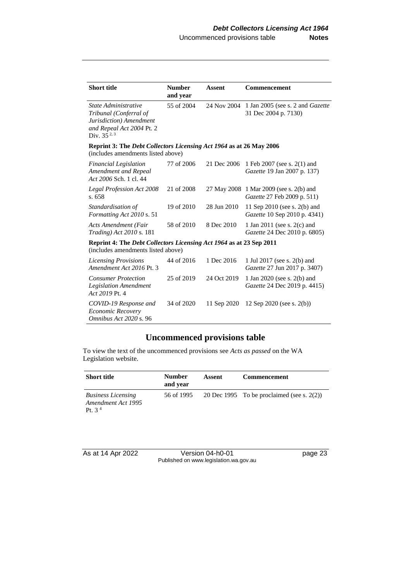| <b>Short title</b>                                                                                                        | <b>Number</b><br>and year | <b>Assent</b> | <b>Commencement</b>                                                |
|---------------------------------------------------------------------------------------------------------------------------|---------------------------|---------------|--------------------------------------------------------------------|
| State Administrative<br>Tribunal (Conferral of<br>Jurisdiction) Amendment<br>and Repeal Act 2004 Pt. 2<br>Div. $35^{2,3}$ | 55 of 2004                | 24 Nov 2004   | 1 Jan 2005 (see s. 2 and <i>Gazette</i><br>31 Dec 2004 p. 7130)    |
| Reprint 3: The <i>Debt Collectors Licensing Act 1964</i> as at 26 May 2006<br>(includes amendments listed above)          |                           |               |                                                                    |
| <b>Financial Legislation</b><br>Amendment and Repeal<br>Act 2006 Sch. 1 cl. 44                                            | 77 of 2006                | 21 Dec 2006   | 1 Feb 2007 (see s. 2(1) and<br><i>Gazette</i> 19 Jan 2007 p. 137)  |
| <b>Legal Profession Act 2008</b><br>s. 658                                                                                | 21 of 2008                | 27 May 2008   | 1 Mar 2009 (see s. 2(b) and<br>Gazette 27 Feb 2009 p. 511)         |
| Standardisation of<br>Formatting Act 2010 s. 51                                                                           | 19 of 2010                | 28 Jun 2010   | 11 Sep 2010 (see s. 2(b) and<br>Gazette 10 Sep 2010 p. 4341)       |
| Acts Amendment (Fair<br><i>Trading</i> ) Act 2010 s. 181                                                                  | 58 of 2010                | 8 Dec 2010    | 1 Jan 2011 (see s. $2(c)$ and<br>Gazette 24 Dec 2010 p. 6805)      |
| Reprint 4: The <i>Debt Collectors Licensing Act 1964</i> as at 23 Sep 2011<br>(includes amendments listed above)          |                           |               |                                                                    |
| <b>Licensing Provisions</b><br>Amendment Act 2016 Pt. 3                                                                   | 44 of 2016                | 1 Dec 2016    | 1 Jul 2017 (see s. 2(b) and<br><i>Gazette</i> 27 Jun 2017 p. 3407) |
| <b>Consumer Protection</b><br>Legislation Amendment<br>Act 2019 Pt. 4                                                     | 25 of 2019                | 24 Oct 2019   | 1 Jan 2020 (see s. 2(b) and<br>Gazette 24 Dec 2019 p. 4415)        |
| COVID-19 Response and<br>Economic Recovery<br>Omnibus Act 2020 s. 96                                                      | 34 of 2020                | 11 Sep 2020   | 12 Sep 2020 (see s. $2(b)$ )                                       |

## **Uncommenced provisions table**

To view the text of the uncommenced provisions see *Acts as passed* on the WA Legislation website.

| <b>Short title</b>                                                    | <b>Number</b><br>and year | Assent | Commencement                                  |
|-----------------------------------------------------------------------|---------------------------|--------|-----------------------------------------------|
| <b>Business Licensing</b><br>Amendment Act 1995<br>Pt. 3 <sup>4</sup> | 56 of 1995                |        | 20 Dec 1995 To be proclaimed (see s. $2(2)$ ) |

As at 14 Apr 2022 Version 04-h0-01 page 23 Published on www.legislation.wa.gov.au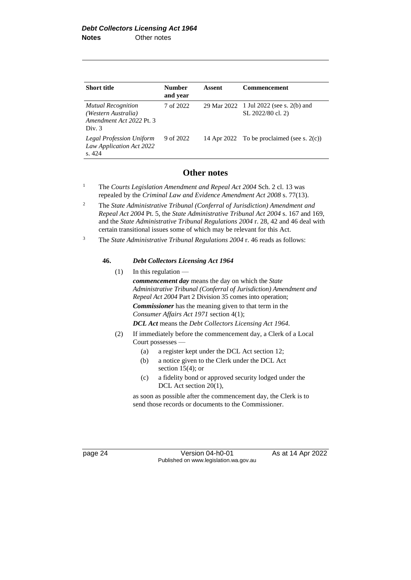| <b>Short title</b>                                                                     | <b>Number</b><br>and year | Assent | <b>Commencement</b>                                          |
|----------------------------------------------------------------------------------------|---------------------------|--------|--------------------------------------------------------------|
| <b>Mutual Recognition</b><br>(Western Australia)<br>Amendment Act 2022 Pt. 3<br>Div. 3 | 7 of 2022                 |        | 29 Mar 2022 1 Jul 2022 (see s. 2(b) and<br>SL 2022/80 cl. 2) |
| Legal Profession Uniform<br>Law Application Act 2022<br>s.424                          | 9 of 2022                 |        | 14 Apr 2022 To be proclaimed (see s. $2(c)$ )                |

#### **Other notes**

- <sup>1</sup> The *Courts Legislation Amendment and Repeal Act 2004* Sch. 2 cl. 13 was repealed by the *Criminal Law and Evidence Amendment Act 2008* s. 77(13).
- <sup>2</sup> The *State Administrative Tribunal (Conferral of Jurisdiction) Amendment and Repeal Act 2004* Pt. 5, the *State Administrative Tribunal Act 2004* s. 167 and 169, and the *State Administrative Tribunal Regulations 2004* r. 28, 42 and 46 deal with certain transitional issues some of which may be relevant for this Act.
- <sup>3</sup> The *State Administrative Tribunal Regulations 2004* r. 46 reads as follows:

#### **46.** *Debt Collectors Licensing Act 1964*

- (1) In this regulation  $$ *commencement day* means the day on which the *State Administrative Tribunal (Conferral of Jurisdiction) Amendment and Repeal Act 2004* Part 2 Division 35 comes into operation; *Commissioner* has the meaning given to that term in the *Consumer Affairs Act 1971* section 4(1); *DCL Act* means the *Debt Collectors Licensing Act 1964*.
- (2) If immediately before the commencement day, a Clerk of a Local Court possesses —
	- (a) a register kept under the DCL Act section 12;
	- (b) a notice given to the Clerk under the DCL Act section  $15(4)$ ; or
	- (c) a fidelity bond or approved security lodged under the DCL Act section 20(1),

as soon as possible after the commencement day, the Clerk is to send those records or documents to the Commissioner.

page 24 Version 04-h0-01 As at 14 Apr 2022 Published on www.legislation.wa.gov.au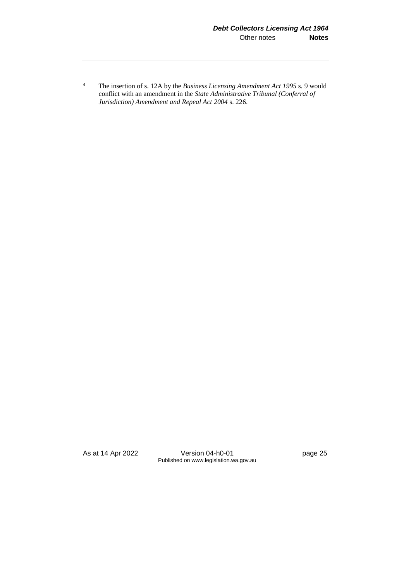<sup>4</sup> The insertion of s. 12A by the *Business Licensing Amendment Act 1995* s. 9 would conflict with an amendment in the *State Administrative Tribunal (Conferral of Jurisdiction) Amendment and Repeal Act 2004* s. 226.

As at 14 Apr 2022 Version 04-h0-01 page 25 Published on www.legislation.wa.gov.au